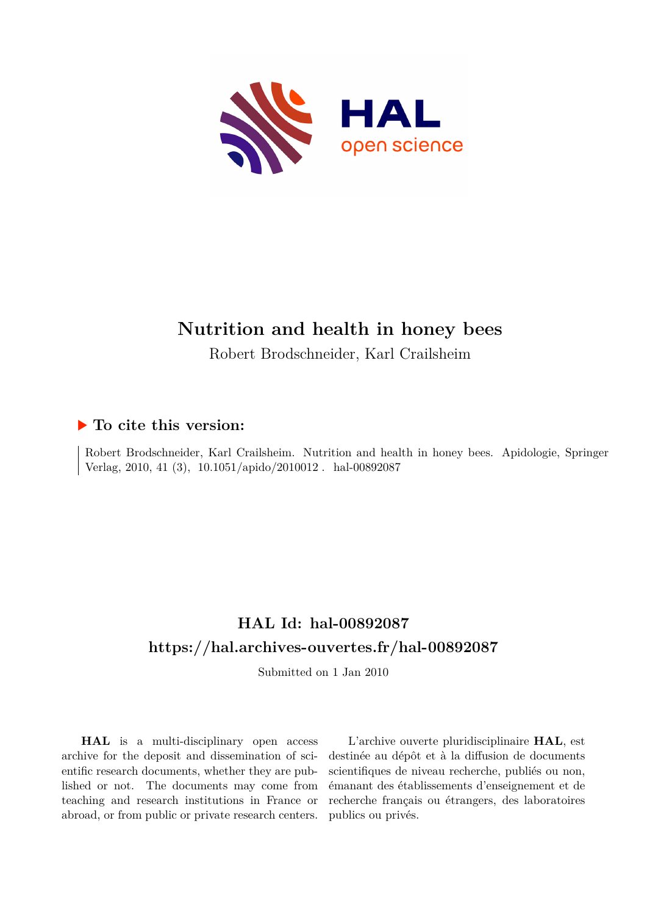

# **Nutrition and health in honey bees**

Robert Brodschneider, Karl Crailsheim

# **To cite this version:**

Robert Brodschneider, Karl Crailsheim. Nutrition and health in honey bees. Apidologie, Springer Verlag, 2010, 41 (3), 10.1051/apido/2010012. hal-00892087

# **HAL Id: hal-00892087 <https://hal.archives-ouvertes.fr/hal-00892087>**

Submitted on 1 Jan 2010

**HAL** is a multi-disciplinary open access archive for the deposit and dissemination of scientific research documents, whether they are published or not. The documents may come from teaching and research institutions in France or abroad, or from public or private research centers.

L'archive ouverte pluridisciplinaire **HAL**, est destinée au dépôt et à la diffusion de documents scientifiques de niveau recherche, publiés ou non, émanant des établissements d'enseignement et de recherche français ou étrangers, des laboratoires publics ou privés.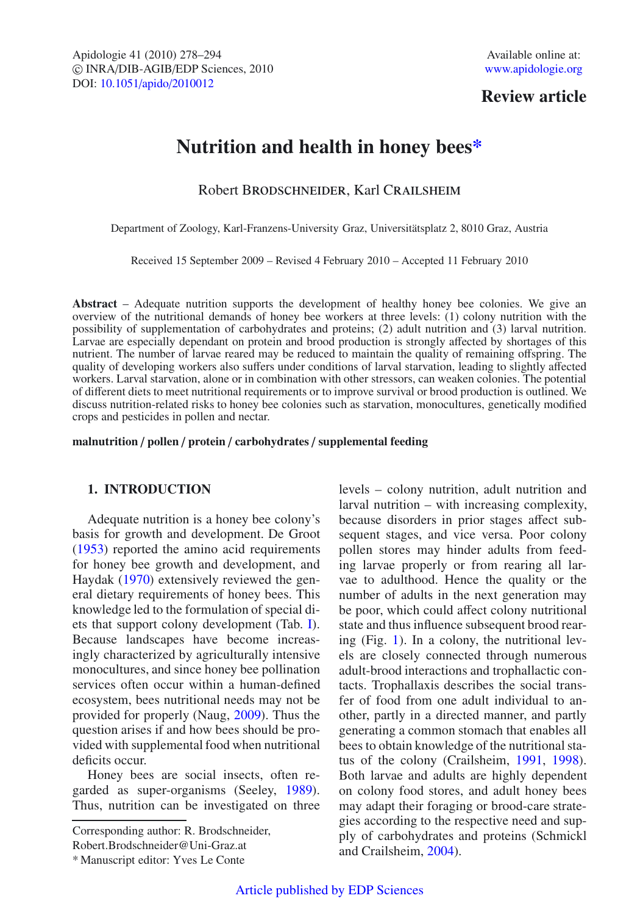# **Review article**

# **Nutrition and health in honey bees\***

Robert Brodschneider, Karl Crailsheim

Department of Zoology, Karl-Franzens-University Graz, Universitätsplatz 2, 8010 Graz, Austria

Received 15 September 2009 – Revised 4 February 2010 – Accepted 11 February 2010

**Abstract** – Adequate nutrition supports the development of healthy honey bee colonies. We give an overview of the nutritional demands of honey bee workers at three levels: (1) colony nutrition with the possibility of supplementation of carbohydrates and proteins; (2) adult nutrition and (3) larval nutrition. Larvae are especially dependant on protein and brood production is strongly affected by shortages of this nutrient. The number of larvae reared may be reduced to maintain the quality of remaining offspring. The quality of developing workers also suffers under conditions of larval starvation, leading to slightly affected workers. Larval starvation, alone or in combination with other stressors, can weaken colonies. The potential of different diets to meet nutritional requirements or to improve survival or brood production is outlined. We discuss nutrition-related risks to honey bee colonies such as starvation, monocultures, genetically modified crops and pesticides in pollen and nectar.

**malnutrition** / **pollen** / **protein** / **carbohydrates** / **supplemental feeding**

# **1. INTRODUCTION**

Adequate nutrition is a honey bee colony's basis for growth and development. De Groot (1953) reported the amino acid requirements for honey bee growth and development, and Haydak (1970) extensively reviewed the general dietary requirements of honey bees. This knowledge led to the formulation of special diets that support colony development (Tab. I). Because landscapes have become increasingly characterized by agriculturally intensive monocultures, and since honey bee pollination services often occur within a human-defined ecosystem, bees nutritional needs may not be provided for properly (Naug, 2009). Thus the question arises if and how bees should be provided with supplemental food when nutritional deficits occur.

Honey bees are social insects, often regarded as super-organisms (Seeley, 1989). Thus, nutrition can be investigated on three

Corresponding author: R. Brodschneider,

Robert.Brodschneider@Uni-Graz.at

levels – colony nutrition, adult nutrition and larval nutrition – with increasing complexity, because disorders in prior stages affect subsequent stages, and vice versa. Poor colony pollen stores may hinder adults from feeding larvae properly or from rearing all larvae to adulthood. Hence the quality or the number of adults in the next generation may be poor, which could affect colony nutritional state and thus influence subsequent brood rearing (Fig. 1). In a colony, the nutritional levels are closely connected through numerous adult-brood interactions and trophallactic contacts. Trophallaxis describes the social transfer of food from one adult individual to another, partly in a directed manner, and partly generating a common stomach that enables all bees to obtain knowledge of the nutritional status of the colony (Crailsheim, 1991, 1998). Both larvae and adults are highly dependent on colony food stores, and adult honey bees may adapt their foraging or brood-care strategies according to the respective need and supply of carbohydrates and proteins (Schmickl and Crailsheim, 2004).

<sup>\*</sup> Manuscript editor: Yves Le Conte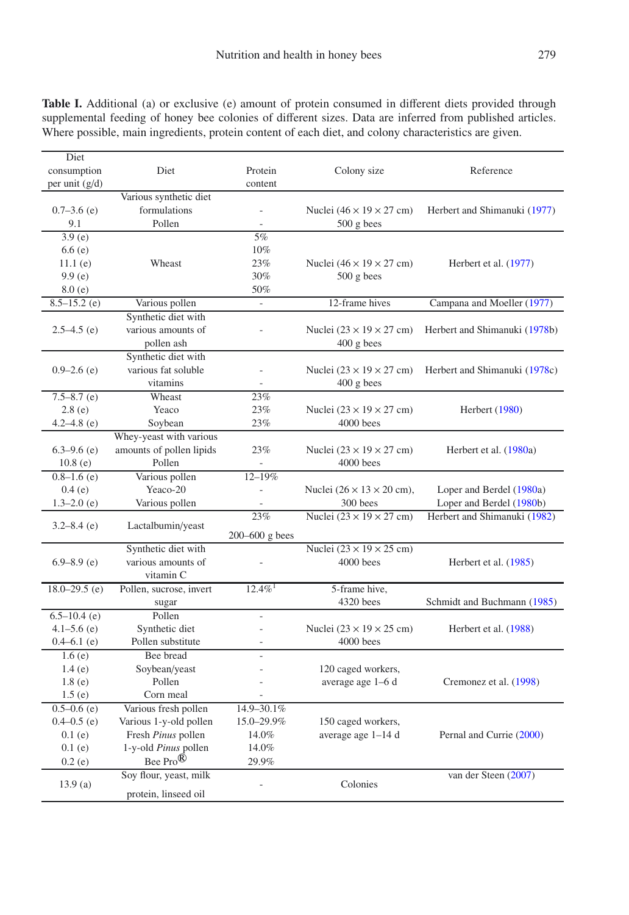| Diet                      |                          |                          |                                       |                               |
|---------------------------|--------------------------|--------------------------|---------------------------------------|-------------------------------|
| consumption               | Diet                     | Protein                  | Colony size                           | Reference                     |
| per unit (g/d)            |                          | content                  |                                       |                               |
|                           | Various synthetic diet   |                          |                                       |                               |
| $0.7-3.6$ (e)             | formulations             |                          | Nuclei $(46 \times 19 \times 27$ cm)  | Herbert and Shimanuki (1977)  |
| 9.1                       | Pollen                   | $\overline{\phantom{a}}$ | $500$ g bees                          |                               |
| 3.9(e)                    |                          | 5%                       |                                       |                               |
| 6.6(e)                    |                          | 10%                      |                                       |                               |
| 11.1(e)                   | Wheast                   | 23%                      | Nuclei $(46 \times 19 \times 27$ cm)  | Herbert et al. (1977)         |
| 9.9(e)                    |                          | 30%                      | $500$ g bees                          |                               |
| 8.0(e)                    |                          | 50%                      |                                       |                               |
| $8.5 - 15.2$ (e)          | Various pollen           | $\overline{a}$           | 12-frame hives                        | Campana and Moeller (1977)    |
|                           | Synthetic diet with      |                          |                                       |                               |
| $2.5 - 4.5$ (e)           | various amounts of       |                          | Nuclei $(23 \times 19 \times 27$ cm)  | Herbert and Shimanuki (1978b) |
|                           | pollen ash               |                          | $400$ g bees                          |                               |
|                           | Synthetic diet with      |                          |                                       |                               |
| $0.9 - 2.6$ (e)           | various fat soluble      | $\overline{a}$           | Nuclei $(23 \times 19 \times 27$ cm)  | Herbert and Shimanuki (1978c) |
|                           | vitamins                 | $\overline{a}$           | $400$ g bees                          |                               |
| $7.5 - 8.7$ (e)           | Wheast                   | 23%                      |                                       |                               |
| 2.8(e)                    | Yeaco                    | 23%                      | Nuclei $(23 \times 19 \times 27$ cm)  | Herbert (1980)                |
| $4.2 - 4.8$ (e)           | Soybean                  | 23%                      | 4000 bees                             |                               |
|                           | Whey-yeast with various  |                          |                                       |                               |
| $6.3 - 9.6$ (e)           | amounts of pollen lipids | 23%                      | Nuclei $(23 \times 19 \times 27$ cm)  | Herbert et al. (1980a)        |
| 10.8(e)                   | Pollen                   |                          | 4000 bees                             |                               |
| $\overline{0.8}$ -1.6 (e) | Various pollen           | 12-19%                   |                                       |                               |
| 0.4(e)                    | Yeaco-20                 |                          | Nuclei $(26 \times 13 \times 20$ cm), | Loper and Berdel (1980a)      |
| $1.3 - 2.0$ (e)           | Various pollen           |                          | 300 bees                              | Loper and Berdel (1980b)      |
| $3.2 - 8.4$ (e)           | Lactalbumin/yeast        | 23%                      | Nuclei $(23 \times 19 \times 27$ cm)  | Herbert and Shimanuki (1982)  |
|                           |                          | $200 - 600$ g bees       |                                       |                               |
|                           | Synthetic diet with      |                          | Nuclei $(23 \times 19 \times 25$ cm)  |                               |
| $6.9 - 8.9$ (e)           | various amounts of       |                          | 4000 bees                             | Herbert et al. (1985)         |
|                           | vitamin C                |                          |                                       |                               |
| $18.0 - 29.5$ (e)         | Pollen, sucrose, invert  | $12.4\%$ <sup>1</sup>    | 5-frame hive,                         |                               |
|                           | sugar                    |                          | 4320 bees                             | Schmidt and Buchmann (1985)   |
| $6.5 - 10.4$ (e)          | Pollen                   | $\overline{a}$           |                                       |                               |
| $4.1 - 5.6$ (e)           | Synthetic diet           | $\overline{\phantom{a}}$ | Nuclei $(23 \times 19 \times 25$ cm)  | Herbert et al. (1988)         |
| $0.4 - 6.1$ (e)           | Pollen substitute        | $\overline{a}$           | 4000 bees                             |                               |
| 1.6(e)                    | Bee bread                | $\overline{a}$           |                                       |                               |
| 1.4(e)                    | Soybean/yeast            | $\overline{a}$           | 120 caged workers,                    |                               |
| 1.8(e)                    | Pollen                   | $\overline{a}$           | average age 1-6 d                     | Cremonez et al. (1998)        |
| 1.5(e)                    | Corn meal                |                          |                                       |                               |
| $0.5 - 0.6$ (e)           | Various fresh pollen     | 14.9-30.1%               |                                       |                               |
| $0.4 - 0.5$ (e)           | Various 1-y-old pollen   | 15.0-29.9%               | 150 caged workers,                    |                               |
| 0.1(e)                    | Fresh Pinus pollen       | 14.0%                    | average age 1-14 d                    | Pernal and Currie (2000)      |
| 0.1(e)                    | 1-y-old Pinus pollen     | 14.0%                    |                                       |                               |
| 0.2(e)                    | Bee Pro <sup>®</sup>     | 29.9%                    |                                       |                               |
|                           | Soy flour, yeast, milk   |                          |                                       | van der Steen (2007)          |
| 13.9(a)                   |                          |                          | Colonies                              |                               |
|                           | protein, linseed oil     |                          |                                       |                               |

Table I. Additional (a) or exclusive (e) amount of protein consumed in different diets provided through supplemental feeding of honey bee colonies of different sizes. Data are inferred from published articles. Where possible, main ingredients, protein content of each diet, and colony characteristics are given.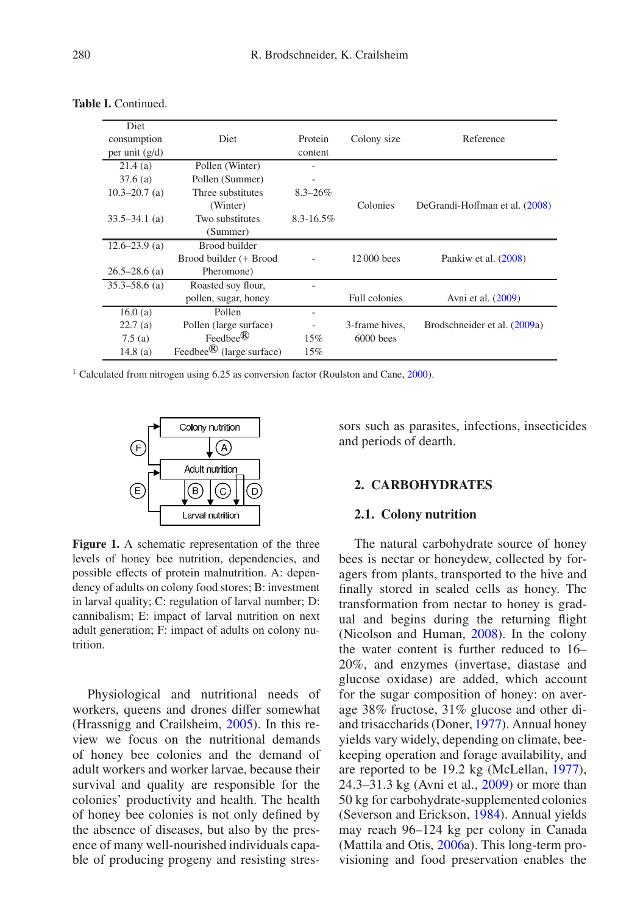| Diet              |                                        |                          |                      |                                |
|-------------------|----------------------------------------|--------------------------|----------------------|--------------------------------|
| consumption       | Diet                                   | Protein                  | Colony size          | Reference                      |
| per unit $(g/d)$  |                                        | content                  |                      |                                |
| 21.4(a)           | Pollen (Winter)                        |                          |                      |                                |
| 37.6(a)           | Pollen (Summer)                        | $\overline{a}$           |                      |                                |
| $10.3 - 20.7$ (a) | Three substitutes                      | $8.3 - 26\%$             |                      |                                |
|                   | (Winter)                               |                          | Colonies             | DeGrandi-Hoffman et al. (2008) |
| $33.5 - 34.1$ (a) | Two substitutes                        | $8.3 - 16.5\%$           |                      |                                |
|                   | (Summer)                               |                          |                      |                                |
| $12.6 - 23.9$ (a) | Brood builder                          |                          |                      |                                |
|                   | Brood builder (+ Brood                 |                          | 12000 bees           | Pankiw et al. (2008)           |
| $26.5 - 28.6$ (a) | Pheromone)                             |                          |                      |                                |
| $35.3 - 58.6$ (a) | Roasted soy flour,                     |                          |                      |                                |
|                   | pollen, sugar, honey                   |                          | <b>Full colonies</b> | Avni et al. (2009)             |
| 16.0(a)           | Pollen                                 | $\overline{a}$           |                      |                                |
| 22.7(a)           | Pollen (large surface)                 | $\overline{\phantom{0}}$ | 3-frame hives.       | Brodschneider et al. (2009a)   |
| 7.5(a)            | Feedbee <sup><math>\&amp;</math></sup> | 15%                      | $6000$ bees          |                                |
| 14.8(a)           | Feedbee <sup>®</sup> (large surface)   | 15%                      |                      |                                |

<sup>1</sup> Calculated from nitrogen using 6.25 as conversion factor (Roulston and Cane,  $2000$ ).



**Figure 1.** A schematic representation of the three levels of honey bee nutrition, dependencies, and possible effects of protein malnutrition. A: dependency of adults on colony food stores; B: investment in larval quality; C: regulation of larval number; D: cannibalism; E: impact of larval nutrition on next adult generation; F: impact of adults on colony nutrition.

Physiological and nutritional needs of workers, queens and drones differ somewhat (Hrassnigg and Crailsheim, 2005). In this review we focus on the nutritional demands of honey bee colonies and the demand of adult workers and worker larvae, because their survival and quality are responsible for the colonies' productivity and health. The health of honey bee colonies is not only defined by the absence of diseases, but also by the presence of many well-nourished individuals capable of producing progeny and resisting stressors such as parasites, infections, insecticides and periods of dearth.

# **2. CARBOHYDRATES**

#### **2.1. Colony nutrition**

The natural carbohydrate source of honey bees is nectar or honeydew, collected by foragers from plants, transported to the hive and finally stored in sealed cells as honey. The transformation from nectar to honey is gradual and begins during the returning flight (Nicolson and Human, 2008). In the colony the water content is further reduced to 16– 20%, and enzymes (invertase, diastase and glucose oxidase) are added, which account for the sugar composition of honey: on average 38% fructose, 31% glucose and other diand trisaccharids (Doner, 1977). Annual honey yields vary widely, depending on climate, beekeeping operation and forage availability, and are reported to be 19.2 kg (McLellan, 1977), 24.3–31.3 kg (Avni et al., 2009) or more than 50 kg for carbohydrate-supplemented colonies (Severson and Erickson, 1984). Annual yields may reach 96–124 kg per colony in Canada (Mattila and Otis, 2006a). This long-term provisioning and food preservation enables the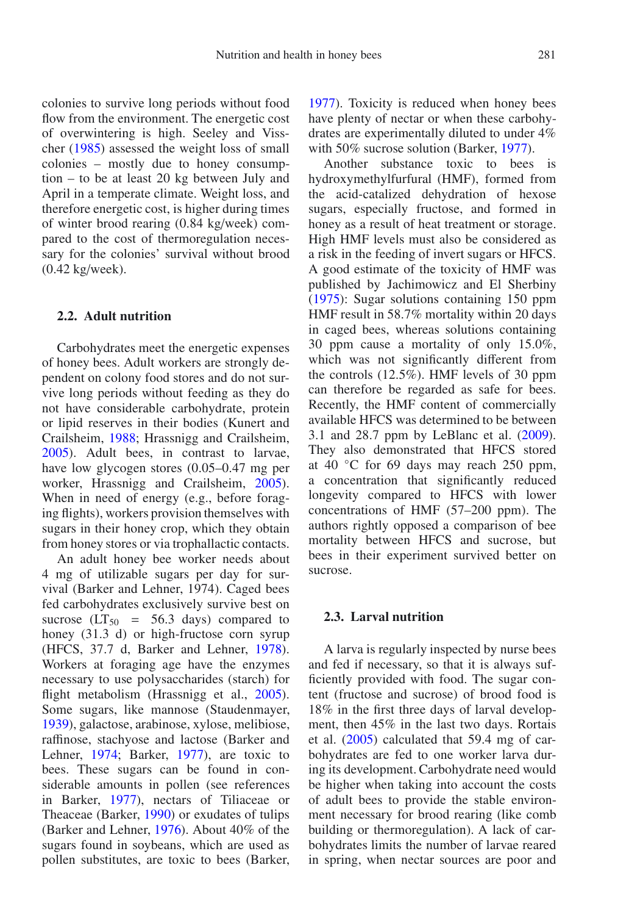colonies to survive long periods without food flow from the environment. The energetic cost of overwintering is high. Seeley and Visscher (1985) assessed the weight loss of small colonies – mostly due to honey consumption – to be at least 20 kg between July and April in a temperate climate. Weight loss, and therefore energetic cost, is higher during times of winter brood rearing (0.84 kg/week) compared to the cost of thermoregulation necessary for the colonies' survival without brood (0.42 kg/week).

## **2.2. Adult nutrition**

Carbohydrates meet the energetic expenses of honey bees. Adult workers are strongly dependent on colony food stores and do not survive long periods without feeding as they do not have considerable carbohydrate, protein or lipid reserves in their bodies (Kunert and Crailsheim, 1988; Hrassnigg and Crailsheim, 2005). Adult bees, in contrast to larvae, have low glycogen stores (0.05–0.47 mg per worker, Hrassnigg and Crailsheim, 2005). When in need of energy (e.g., before foraging flights), workers provision themselves with sugars in their honey crop, which they obtain from honey stores or via trophallactic contacts.

An adult honey bee worker needs about 4 mg of utilizable sugars per day for survival (Barker and Lehner, 1974). Caged bees fed carbohydrates exclusively survive best on sucrose  $(LT_{50} = 56.3$  days) compared to honey (31.3 d) or high-fructose corn syrup (HFCS, 37.7 d, Barker and Lehner, 1978). Workers at foraging age have the enzymes necessary to use polysaccharides (starch) for flight metabolism (Hrassnigg et al., 2005). Some sugars, like mannose (Staudenmayer, 1939), galactose, arabinose, xylose, melibiose, raffinose, stachyose and lactose (Barker and Lehner, 1974; Barker, 1977), are toxic to bees. These sugars can be found in considerable amounts in pollen (see references in Barker, 1977), nectars of Tiliaceae or Theaceae (Barker, 1990) or exudates of tulips (Barker and Lehner, 1976). About 40% of the sugars found in soybeans, which are used as pollen substitutes, are toxic to bees (Barker, 1977). Toxicity is reduced when honey bees have plenty of nectar or when these carbohydrates are experimentally diluted to under 4% with 50% sucrose solution (Barker, 1977).

Another substance toxic to bees is hydroxymethylfurfural (HMF), formed from the acid-catalized dehydration of hexose sugars, especially fructose, and formed in honey as a result of heat treatment or storage. High HMF levels must also be considered as a risk in the feeding of invert sugars or HFCS. A good estimate of the toxicity of HMF was published by Jachimowicz and El Sherbiny (1975): Sugar solutions containing 150 ppm HMF result in 58.7% mortality within 20 days in caged bees, whereas solutions containing 30 ppm cause a mortality of only 15.0%, which was not significantly different from the controls (12.5%). HMF levels of 30 ppm can therefore be regarded as safe for bees. Recently, the HMF content of commercially available HFCS was determined to be between 3.1 and 28.7 ppm by LeBlanc et al. (2009). They also demonstrated that HFCS stored at 40 ◦C for 69 days may reach 250 ppm, a concentration that significantly reduced longevity compared to HFCS with lower concentrations of HMF (57–200 ppm). The authors rightly opposed a comparison of bee mortality between HFCS and sucrose, but bees in their experiment survived better on sucrose.

#### **2.3. Larval nutrition**

A larva is regularly inspected by nurse bees and fed if necessary, so that it is always sufficiently provided with food. The sugar content (fructose and sucrose) of brood food is 18% in the first three days of larval development, then 45% in the last two days. Rortais et al. (2005) calculated that 59.4 mg of carbohydrates are fed to one worker larva during its development. Carbohydrate need would be higher when taking into account the costs of adult bees to provide the stable environment necessary for brood rearing (like comb building or thermoregulation). A lack of carbohydrates limits the number of larvae reared in spring, when nectar sources are poor and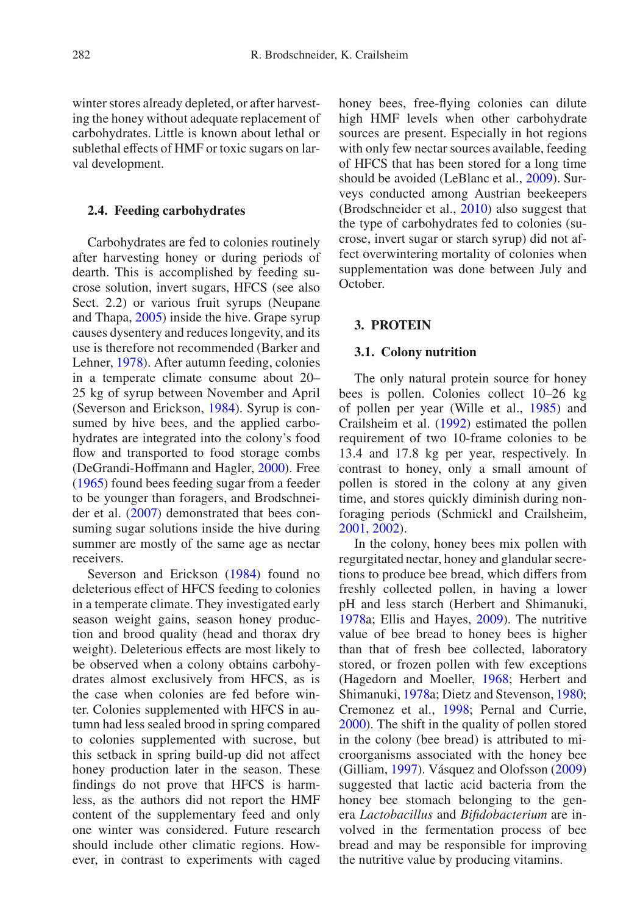winter stores already depleted, or after harvesting the honey without adequate replacement of carbohydrates. Little is known about lethal or sublethal effects of HMF or toxic sugars on larval development.

#### **2.4. Feeding carbohydrates**

Carbohydrates are fed to colonies routinely after harvesting honey or during periods of dearth. This is accomplished by feeding sucrose solution, invert sugars, HFCS (see also Sect. 2.2) or various fruit syrups (Neupane and Thapa, 2005) inside the hive. Grape syrup causes dysentery and reduces longevity, and its use is therefore not recommended (Barker and Lehner, 1978). After autumn feeding, colonies in a temperate climate consume about 20– 25 kg of syrup between November and April (Severson and Erickson, 1984). Syrup is consumed by hive bees, and the applied carbohydrates are integrated into the colony's food flow and transported to food storage combs (DeGrandi-Hoffmann and Hagler, 2000). Free (1965) found bees feeding sugar from a feeder to be younger than foragers, and Brodschneider et al. (2007) demonstrated that bees consuming sugar solutions inside the hive during summer are mostly of the same age as nectar receivers.

Severson and Erickson (1984) found no deleterious effect of HFCS feeding to colonies in a temperate climate. They investigated early season weight gains, season honey production and brood quality (head and thorax dry weight). Deleterious effects are most likely to be observed when a colony obtains carbohydrates almost exclusively from HFCS, as is the case when colonies are fed before winter. Colonies supplemented with HFCS in autumn had less sealed brood in spring compared to colonies supplemented with sucrose, but this setback in spring build-up did not affect honey production later in the season. These findings do not prove that HFCS is harmless, as the authors did not report the HMF content of the supplementary feed and only one winter was considered. Future research should include other climatic regions. However, in contrast to experiments with caged

honey bees, free-flying colonies can dilute high HMF levels when other carbohydrate sources are present. Especially in hot regions with only few nectar sources available, feeding of HFCS that has been stored for a long time should be avoided (LeBlanc et al., 2009). Surveys conducted among Austrian beekeepers (Brodschneider et al., 2010) also suggest that the type of carbohydrates fed to colonies (sucrose, invert sugar or starch syrup) did not affect overwintering mortality of colonies when supplementation was done between July and October.

#### **3. PROTEIN**

#### **3.1. Colony nutrition**

The only natural protein source for honey bees is pollen. Colonies collect 10–26 kg of pollen per year (Wille et al., 1985) and Crailsheim et al. (1992) estimated the pollen requirement of two 10-frame colonies to be 13.4 and 17.8 kg per year, respectively. In contrast to honey, only a small amount of pollen is stored in the colony at any given time, and stores quickly diminish during nonforaging periods (Schmickl and Crailsheim, 2001, 2002).

In the colony, honey bees mix pollen with regurgitated nectar, honey and glandular secretions to produce bee bread, which differs from freshly collected pollen, in having a lower pH and less starch (Herbert and Shimanuki, 1978a; Ellis and Hayes, 2009). The nutritive value of bee bread to honey bees is higher than that of fresh bee collected, laboratory stored, or frozen pollen with few exceptions (Hagedorn and Moeller, 1968; Herbert and Shimanuki, 1978a; Dietz and Stevenson, 1980; Cremonez et al., 1998; Pernal and Currie, 2000). The shift in the quality of pollen stored in the colony (bee bread) is attributed to microorganisms associated with the honey bee (Gilliam, 1997). Vásquez and Olofsson (2009) suggested that lactic acid bacteria from the honey bee stomach belonging to the genera *Lactobacillus* and *Bifidobacterium* are involved in the fermentation process of bee bread and may be responsible for improving the nutritive value by producing vitamins.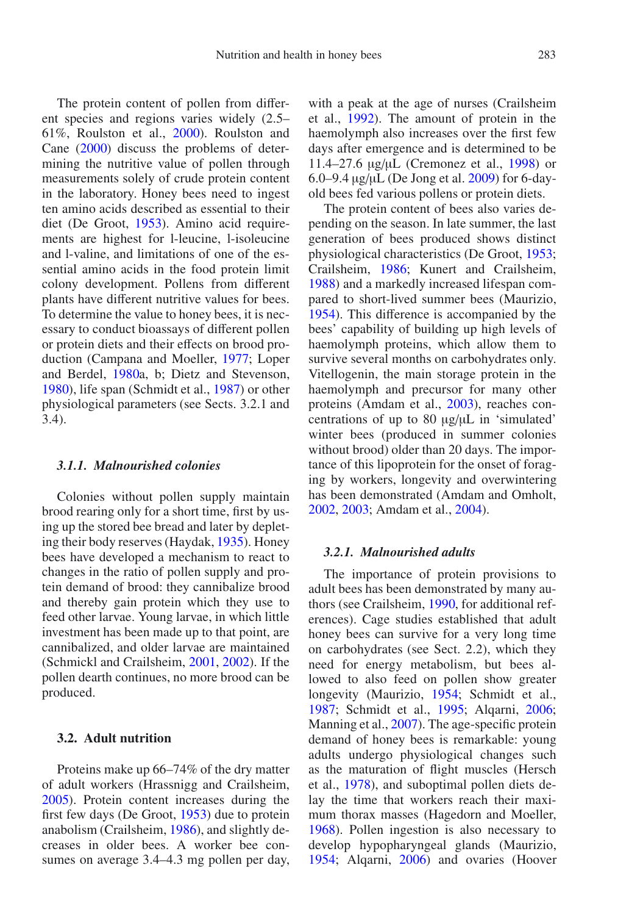The protein content of pollen from different species and regions varies widely (2.5– 61%, Roulston et al., 2000). Roulston and Cane (2000) discuss the problems of determining the nutritive value of pollen through measurements solely of crude protein content in the laboratory. Honey bees need to ingest ten amino acids described as essential to their diet (De Groot, 1953). Amino acid requirements are highest for l-leucine, l-isoleucine and l-valine, and limitations of one of the essential amino acids in the food protein limit colony development. Pollens from different plants have different nutritive values for bees. To determine the value to honey bees, it is necessary to conduct bioassays of different pollen or protein diets and their effects on brood production (Campana and Moeller, 1977; Loper and Berdel, 1980a, b; Dietz and Stevenson, 1980), life span (Schmidt et al., 1987) or other physiological parameters (see Sects. 3.2.1 and 3.4).

#### *3.1.1. Malnourished colonies*

Colonies without pollen supply maintain brood rearing only for a short time, first by using up the stored bee bread and later by depleting their body reserves (Haydak, 1935). Honey bees have developed a mechanism to react to changes in the ratio of pollen supply and protein demand of brood: they cannibalize brood and thereby gain protein which they use to feed other larvae. Young larvae, in which little investment has been made up to that point, are cannibalized, and older larvae are maintained (Schmickl and Crailsheim, 2001, 2002). If the pollen dearth continues, no more brood can be produced.

# **3.2. Adult nutrition**

Proteins make up 66–74% of the dry matter of adult workers (Hrassnigg and Crailsheim, 2005). Protein content increases during the first few days (De Groot, 1953) due to protein anabolism (Crailsheim, 1986), and slightly decreases in older bees. A worker bee consumes on average 3.4–4.3 mg pollen per day, with a peak at the age of nurses (Crailsheim et al., 1992). The amount of protein in the haemolymph also increases over the first few days after emergence and is determined to be 11.4–27.6 μg/μL (Cremonez et al., 1998) or 6.0–9.4 μg/μL (De Jong et al. 2009) for 6-dayold bees fed various pollens or protein diets.

The protein content of bees also varies depending on the season. In late summer, the last generation of bees produced shows distinct physiological characteristics (De Groot, 1953; Crailsheim, 1986; Kunert and Crailsheim, 1988) and a markedly increased lifespan compared to short-lived summer bees (Maurizio, 1954). This difference is accompanied by the bees' capability of building up high levels of haemolymph proteins, which allow them to survive several months on carbohydrates only. Vitellogenin, the main storage protein in the haemolymph and precursor for many other proteins (Amdam et al., 2003), reaches concentrations of up to 80 μg/μL in 'simulated' winter bees (produced in summer colonies without brood) older than 20 days. The importance of this lipoprotein for the onset of foraging by workers, longevity and overwintering has been demonstrated (Amdam and Omholt, 2002, 2003; Amdam et al., 2004).

#### *3.2.1. Malnourished adults*

The importance of protein provisions to adult bees has been demonstrated by many authors (see Crailsheim, 1990, for additional references). Cage studies established that adult honey bees can survive for a very long time on carbohydrates (see Sect. 2.2), which they need for energy metabolism, but bees allowed to also feed on pollen show greater longevity (Maurizio, 1954; Schmidt et al., 1987; Schmidt et al., 1995; Alqarni, 2006; Manning et al., 2007). The age-specific protein demand of honey bees is remarkable: young adults undergo physiological changes such as the maturation of flight muscles (Hersch et al., 1978), and suboptimal pollen diets delay the time that workers reach their maximum thorax masses (Hagedorn and Moeller, 1968). Pollen ingestion is also necessary to develop hypopharyngeal glands (Maurizio, 1954; Alqarni, 2006) and ovaries (Hoover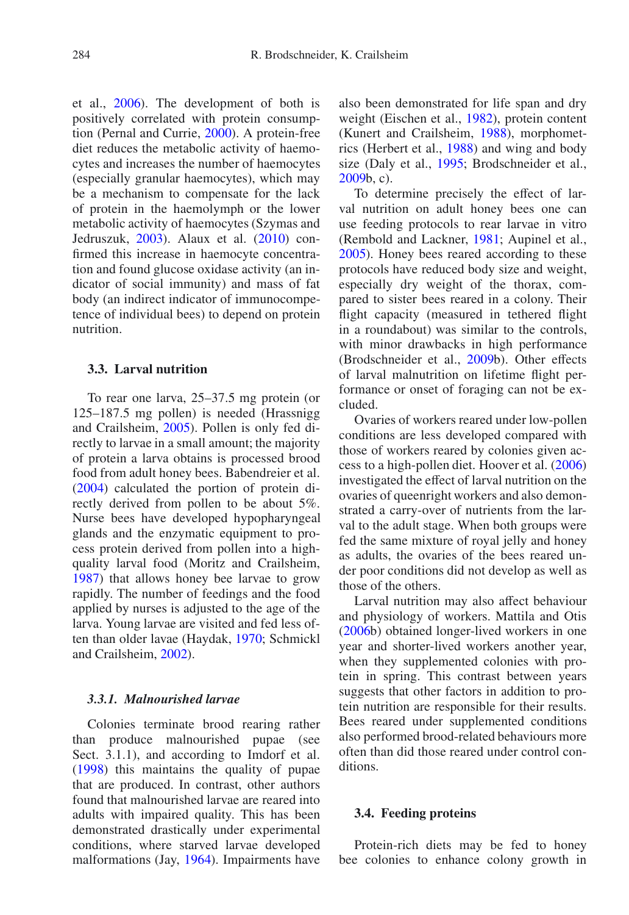et al., 2006). The development of both is positively correlated with protein consumption (Pernal and Currie, 2000). A protein-free diet reduces the metabolic activity of haemocytes and increases the number of haemocytes (especially granular haemocytes), which may be a mechanism to compensate for the lack of protein in the haemolymph or the lower metabolic activity of haemocytes (Szymas and Jedruszuk, 2003). Alaux et al. (2010) confirmed this increase in haemocyte concentration and found glucose oxidase activity (an indicator of social immunity) and mass of fat body (an indirect indicator of immunocompetence of individual bees) to depend on protein nutrition.

# **3.3. Larval nutrition**

To rear one larva, 25–37.5 mg protein (or 125–187.5 mg pollen) is needed (Hrassnigg and Crailsheim, 2005). Pollen is only fed directly to larvae in a small amount; the majority of protein a larva obtains is processed brood food from adult honey bees. Babendreier et al. (2004) calculated the portion of protein directly derived from pollen to be about 5%. Nurse bees have developed hypopharyngeal glands and the enzymatic equipment to process protein derived from pollen into a highquality larval food (Moritz and Crailsheim, 1987) that allows honey bee larvae to grow rapidly. The number of feedings and the food applied by nurses is adjusted to the age of the larva. Young larvae are visited and fed less often than older lavae (Haydak, 1970; Schmickl and Crailsheim, 2002).

# *3.3.1. Malnourished larvae*

Colonies terminate brood rearing rather than produce malnourished pupae (see Sect. 3.1.1), and according to Imdorf et al. (1998) this maintains the quality of pupae that are produced. In contrast, other authors found that malnourished larvae are reared into adults with impaired quality. This has been demonstrated drastically under experimental conditions, where starved larvae developed malformations (Jay, 1964). Impairments have

also been demonstrated for life span and dry weight (Eischen et al., 1982), protein content (Kunert and Crailsheim, 1988), morphometrics (Herbert et al., 1988) and wing and body size (Daly et al., 1995; Brodschneider et al.,  $2009b, c$ ).

To determine precisely the effect of larval nutrition on adult honey bees one can use feeding protocols to rear larvae in vitro (Rembold and Lackner, 1981; Aupinel et al., 2005). Honey bees reared according to these protocols have reduced body size and weight, especially dry weight of the thorax, compared to sister bees reared in a colony. Their flight capacity (measured in tethered flight in a roundabout) was similar to the controls, with minor drawbacks in high performance (Brodschneider et al., 2009b). Other effects of larval malnutrition on lifetime flight performance or onset of foraging can not be excluded.

Ovaries of workers reared under low-pollen conditions are less developed compared with those of workers reared by colonies given access to a high-pollen diet. Hoover et al. (2006) investigated the effect of larval nutrition on the ovaries of queenright workers and also demonstrated a carry-over of nutrients from the larval to the adult stage. When both groups were fed the same mixture of royal jelly and honey as adults, the ovaries of the bees reared under poor conditions did not develop as well as those of the others.

Larval nutrition may also affect behaviour and physiology of workers. Mattila and Otis (2006b) obtained longer-lived workers in one year and shorter-lived workers another year, when they supplemented colonies with protein in spring. This contrast between years suggests that other factors in addition to protein nutrition are responsible for their results. Bees reared under supplemented conditions also performed brood-related behaviours more often than did those reared under control conditions.

#### **3.4. Feeding proteins**

Protein-rich diets may be fed to honey bee colonies to enhance colony growth in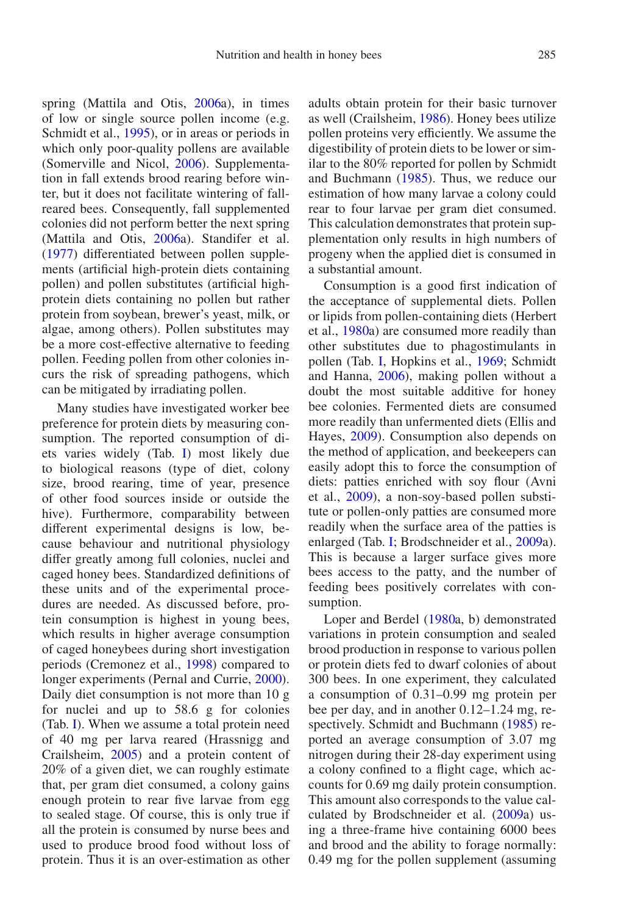spring (Mattila and Otis, 2006a), in times of low or single source pollen income (e.g. Schmidt et al., 1995), or in areas or periods in which only poor-quality pollens are available (Somerville and Nicol, 2006). Supplementation in fall extends brood rearing before winter, but it does not facilitate wintering of fallreared bees. Consequently, fall supplemented colonies did not perform better the next spring (Mattila and Otis, 2006a). Standifer et al. (1977) differentiated between pollen supplements (artificial high-protein diets containing pollen) and pollen substitutes (artificial highprotein diets containing no pollen but rather protein from soybean, brewer's yeast, milk, or algae, among others). Pollen substitutes may be a more cost-effective alternative to feeding pollen. Feeding pollen from other colonies incurs the risk of spreading pathogens, which can be mitigated by irradiating pollen.

Many studies have investigated worker bee preference for protein diets by measuring consumption. The reported consumption of diets varies widely (Tab. I) most likely due to biological reasons (type of diet, colony size, brood rearing, time of year, presence of other food sources inside or outside the hive). Furthermore, comparability between different experimental designs is low, because behaviour and nutritional physiology differ greatly among full colonies, nuclei and caged honey bees. Standardized definitions of these units and of the experimental procedures are needed. As discussed before, protein consumption is highest in young bees, which results in higher average consumption of caged honeybees during short investigation periods (Cremonez et al., 1998) compared to longer experiments (Pernal and Currie, 2000). Daily diet consumption is not more than 10 g for nuclei and up to 58.6 g for colonies (Tab. I). When we assume a total protein need of 40 mg per larva reared (Hrassnigg and Crailsheim, 2005) and a protein content of 20% of a given diet, we can roughly estimate that, per gram diet consumed, a colony gains enough protein to rear five larvae from egg to sealed stage. Of course, this is only true if all the protein is consumed by nurse bees and used to produce brood food without loss of protein. Thus it is an over-estimation as other adults obtain protein for their basic turnover as well (Crailsheim, 1986). Honey bees utilize pollen proteins very efficiently. We assume the digestibility of protein diets to be lower or similar to the 80% reported for pollen by Schmidt and Buchmann (1985). Thus, we reduce our estimation of how many larvae a colony could rear to four larvae per gram diet consumed. This calculation demonstrates that protein supplementation only results in high numbers of progeny when the applied diet is consumed in a substantial amount.

Consumption is a good first indication of the acceptance of supplemental diets. Pollen or lipids from pollen-containing diets (Herbert et al., 1980a) are consumed more readily than other substitutes due to phagostimulants in pollen (Tab. I, Hopkins et al., 1969; Schmidt and Hanna, 2006), making pollen without a doubt the most suitable additive for honey bee colonies. Fermented diets are consumed more readily than unfermented diets (Ellis and Hayes, 2009). Consumption also depends on the method of application, and beekeepers can easily adopt this to force the consumption of diets: patties enriched with soy flour (Avni et al., 2009), a non-soy-based pollen substitute or pollen-only patties are consumed more readily when the surface area of the patties is enlarged (Tab. I; Brodschneider et al., 2009a). This is because a larger surface gives more bees access to the patty, and the number of feeding bees positively correlates with consumption.

Loper and Berdel (1980a, b) demonstrated variations in protein consumption and sealed brood production in response to various pollen or protein diets fed to dwarf colonies of about 300 bees. In one experiment, they calculated a consumption of 0.31–0.99 mg protein per bee per day, and in another 0.12–1.24 mg, respectively. Schmidt and Buchmann (1985) reported an average consumption of 3.07 mg nitrogen during their 28-day experiment using a colony confined to a flight cage, which accounts for 0.69 mg daily protein consumption. This amount also corresponds to the value calculated by Brodschneider et al. (2009a) using a three-frame hive containing 6000 bees and brood and the ability to forage normally: 0.49 mg for the pollen supplement (assuming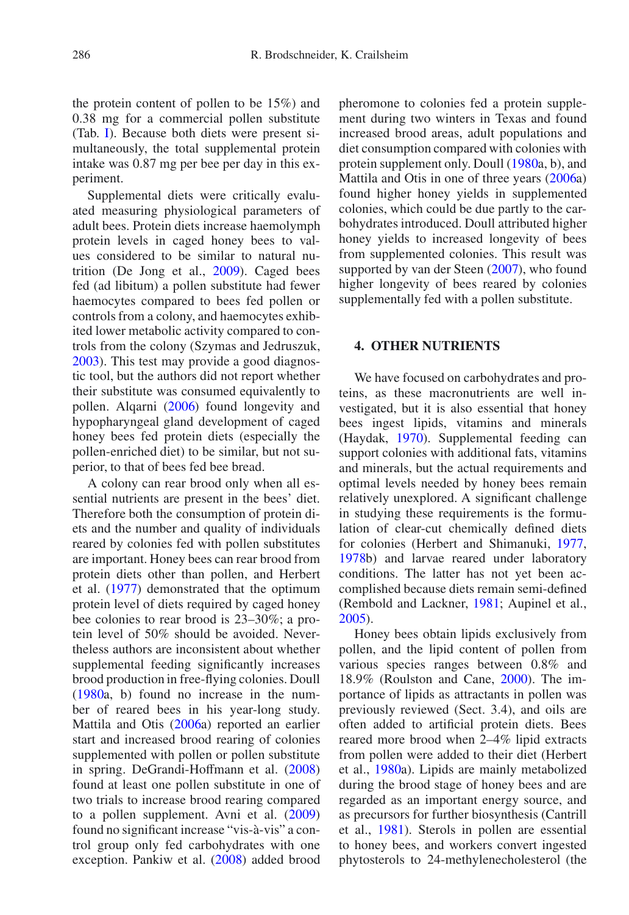the protein content of pollen to be 15%) and 0.38 mg for a commercial pollen substitute (Tab. I). Because both diets were present simultaneously, the total supplemental protein intake was 0.87 mg per bee per day in this experiment.

Supplemental diets were critically evaluated measuring physiological parameters of adult bees. Protein diets increase haemolymph protein levels in caged honey bees to values considered to be similar to natural nutrition (De Jong et al., 2009). Caged bees fed (ad libitum) a pollen substitute had fewer haemocytes compared to bees fed pollen or controls from a colony, and haemocytes exhibited lower metabolic activity compared to controls from the colony (Szymas and Jedruszuk, 2003). This test may provide a good diagnostic tool, but the authors did not report whether their substitute was consumed equivalently to pollen. Alqarni (2006) found longevity and hypopharyngeal gland development of caged honey bees fed protein diets (especially the pollen-enriched diet) to be similar, but not superior, to that of bees fed bee bread.

A colony can rear brood only when all essential nutrients are present in the bees' diet. Therefore both the consumption of protein diets and the number and quality of individuals reared by colonies fed with pollen substitutes are important. Honey bees can rear brood from protein diets other than pollen, and Herbert et al. (1977) demonstrated that the optimum protein level of diets required by caged honey bee colonies to rear brood is 23–30%; a protein level of 50% should be avoided. Nevertheless authors are inconsistent about whether supplemental feeding significantly increases brood production in free-flying colonies. Doull (1980a, b) found no increase in the number of reared bees in his year-long study. Mattila and Otis (2006a) reported an earlier start and increased brood rearing of colonies supplemented with pollen or pollen substitute in spring. DeGrandi-Hoffmann et al. (2008) found at least one pollen substitute in one of two trials to increase brood rearing compared to a pollen supplement. Avni et al. (2009) found no significant increase "vis-à-vis" a control group only fed carbohydrates with one exception. Pankiw et al. (2008) added brood pheromone to colonies fed a protein supplement during two winters in Texas and found increased brood areas, adult populations and diet consumption compared with colonies with protein supplement only. Doull (1980a, b), and Mattila and Otis in one of three years (2006a) found higher honey yields in supplemented colonies, which could be due partly to the carbohydrates introduced. Doull attributed higher honey yields to increased longevity of bees from supplemented colonies. This result was supported by van der Steen (2007), who found higher longevity of bees reared by colonies supplementally fed with a pollen substitute.

# **4. OTHER NUTRIENTS**

We have focused on carbohydrates and proteins, as these macronutrients are well investigated, but it is also essential that honey bees ingest lipids, vitamins and minerals (Haydak, 1970). Supplemental feeding can support colonies with additional fats, vitamins and minerals, but the actual requirements and optimal levels needed by honey bees remain relatively unexplored. A significant challenge in studying these requirements is the formulation of clear-cut chemically defined diets for colonies (Herbert and Shimanuki, 1977, 1978b) and larvae reared under laboratory conditions. The latter has not yet been accomplished because diets remain semi-defined (Rembold and Lackner, 1981; Aupinel et al., 2005).

Honey bees obtain lipids exclusively from pollen, and the lipid content of pollen from various species ranges between 0.8% and 18.9% (Roulston and Cane, 2000). The importance of lipids as attractants in pollen was previously reviewed (Sect. 3.4), and oils are often added to artificial protein diets. Bees reared more brood when 2–4% lipid extracts from pollen were added to their diet (Herbert et al., 1980a). Lipids are mainly metabolized during the brood stage of honey bees and are regarded as an important energy source, and as precursors for further biosynthesis (Cantrill et al., 1981). Sterols in pollen are essential to honey bees, and workers convert ingested phytosterols to 24-methylenecholesterol (the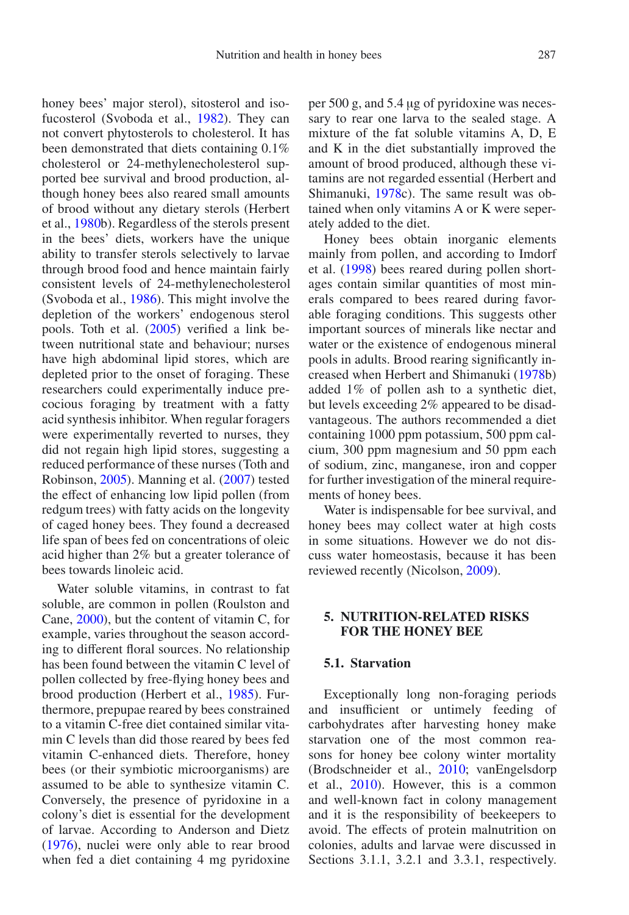honey bees' major sterol), sitosterol and isofucosterol (Svoboda et al., 1982). They can not convert phytosterols to cholesterol. It has been demonstrated that diets containing 0.1% cholesterol or 24-methylenecholesterol supported bee survival and brood production, although honey bees also reared small amounts of brood without any dietary sterols (Herbert et al., 1980b). Regardless of the sterols present in the bees' diets, workers have the unique ability to transfer sterols selectively to larvae through brood food and hence maintain fairly consistent levels of 24-methylenecholesterol (Svoboda et al., 1986). This might involve the depletion of the workers' endogenous sterol pools. Toth et al. (2005) verified a link between nutritional state and behaviour; nurses have high abdominal lipid stores, which are depleted prior to the onset of foraging. These researchers could experimentally induce precocious foraging by treatment with a fatty acid synthesis inhibitor. When regular foragers were experimentally reverted to nurses, they did not regain high lipid stores, suggesting a reduced performance of these nurses (Toth and Robinson, 2005). Manning et al. (2007) tested the effect of enhancing low lipid pollen (from redgum trees) with fatty acids on the longevity of caged honey bees. They found a decreased life span of bees fed on concentrations of oleic acid higher than 2% but a greater tolerance of bees towards linoleic acid.

Water soluble vitamins, in contrast to fat soluble, are common in pollen (Roulston and Cane, 2000), but the content of vitamin C, for example, varies throughout the season according to different floral sources. No relationship has been found between the vitamin C level of pollen collected by free-flying honey bees and brood production (Herbert et al., 1985). Furthermore, prepupae reared by bees constrained to a vitamin C-free diet contained similar vitamin C levels than did those reared by bees fed vitamin C-enhanced diets. Therefore, honey bees (or their symbiotic microorganisms) are assumed to be able to synthesize vitamin C. Conversely, the presence of pyridoxine in a colony's diet is essential for the development of larvae. According to Anderson and Dietz (1976), nuclei were only able to rear brood when fed a diet containing 4 mg pyridoxine per 500 g, and 5.4 μg of pyridoxine was necessary to rear one larva to the sealed stage. A mixture of the fat soluble vitamins A, D, E and K in the diet substantially improved the amount of brood produced, although these vitamins are not regarded essential (Herbert and Shimanuki, 1978c). The same result was obtained when only vitamins A or K were seperately added to the diet.

Honey bees obtain inorganic elements mainly from pollen, and according to Imdorf et al. (1998) bees reared during pollen shortages contain similar quantities of most minerals compared to bees reared during favorable foraging conditions. This suggests other important sources of minerals like nectar and water or the existence of endogenous mineral pools in adults. Brood rearing significantly increased when Herbert and Shimanuki (1978b) added 1% of pollen ash to a synthetic diet, but levels exceeding 2% appeared to be disadvantageous. The authors recommended a diet containing 1000 ppm potassium, 500 ppm calcium, 300 ppm magnesium and 50 ppm each of sodium, zinc, manganese, iron and copper for further investigation of the mineral requirements of honey bees.

Water is indispensable for bee survival, and honey bees may collect water at high costs in some situations. However we do not discuss water homeostasis, because it has been reviewed recently (Nicolson, 2009).

# **5. NUTRITION-RELATED RISKS FOR THE HONEY BEE**

# **5.1. Starvation**

Exceptionally long non-foraging periods and insufficient or untimely feeding of carbohydrates after harvesting honey make starvation one of the most common reasons for honey bee colony winter mortality (Brodschneider et al., 2010; vanEngelsdorp et al., 2010). However, this is a common and well-known fact in colony management and it is the responsibility of beekeepers to avoid. The effects of protein malnutrition on colonies, adults and larvae were discussed in Sections 3.1.1, 3.2.1 and 3.3.1, respectively.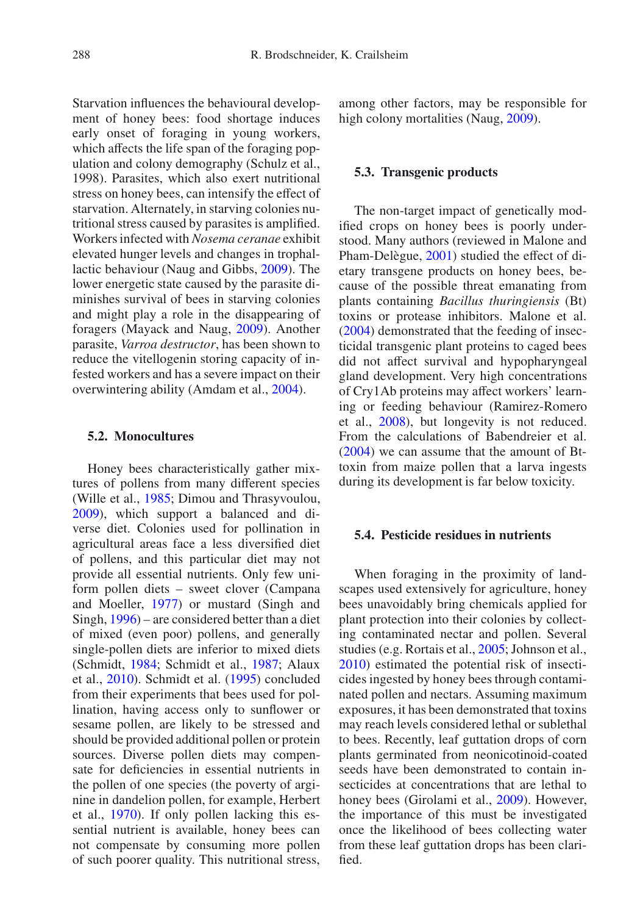Starvation influences the behavioural development of honey bees: food shortage induces early onset of foraging in young workers, which affects the life span of the foraging population and colony demography (Schulz et al., 1998). Parasites, which also exert nutritional stress on honey bees, can intensify the effect of starvation. Alternately, in starving colonies nutritional stress caused by parasites is amplified. Workers infected with *Nosema ceranae* exhibit elevated hunger levels and changes in trophallactic behaviour (Naug and Gibbs, 2009). The lower energetic state caused by the parasite diminishes survival of bees in starving colonies and might play a role in the disappearing of foragers (Mayack and Naug, 2009). Another parasite, *Varroa destructor*, has been shown to reduce the vitellogenin storing capacity of infested workers and has a severe impact on their overwintering ability (Amdam et al., 2004).

#### **5.2. Monocultures**

Honey bees characteristically gather mixtures of pollens from many different species (Wille et al., 1985; Dimou and Thrasyvoulou, 2009), which support a balanced and diverse diet. Colonies used for pollination in agricultural areas face a less diversified diet of pollens, and this particular diet may not provide all essential nutrients. Only few uniform pollen diets – sweet clover (Campana and Moeller, 1977) or mustard (Singh and Singh, 1996) – are considered better than a diet of mixed (even poor) pollens, and generally single-pollen diets are inferior to mixed diets (Schmidt, 1984; Schmidt et al., 1987; Alaux et al., 2010). Schmidt et al. (1995) concluded from their experiments that bees used for pollination, having access only to sunflower or sesame pollen, are likely to be stressed and should be provided additional pollen or protein sources. Diverse pollen diets may compensate for deficiencies in essential nutrients in the pollen of one species (the poverty of arginine in dandelion pollen, for example, Herbert et al., 1970). If only pollen lacking this essential nutrient is available, honey bees can not compensate by consuming more pollen of such poorer quality. This nutritional stress,

among other factors, may be responsible for high colony mortalities (Naug, 2009).

#### **5.3. Transgenic products**

The non-target impact of genetically modified crops on honey bees is poorly understood. Many authors (reviewed in Malone and Pham-Delègue, 2001) studied the effect of dietary transgene products on honey bees, because of the possible threat emanating from plants containing *Bacillus thuringiensis* (Bt) toxins or protease inhibitors. Malone et al. (2004) demonstrated that the feeding of insecticidal transgenic plant proteins to caged bees did not affect survival and hypopharyngeal gland development. Very high concentrations of Cry1Ab proteins may affect workers' learning or feeding behaviour (Ramirez-Romero et al., 2008), but longevity is not reduced. From the calculations of Babendreier et al. (2004) we can assume that the amount of Bttoxin from maize pollen that a larva ingests during its development is far below toxicity.

#### **5.4. Pesticide residues in nutrients**

When foraging in the proximity of landscapes used extensively for agriculture, honey bees unavoidably bring chemicals applied for plant protection into their colonies by collecting contaminated nectar and pollen. Several studies (e.g. Rortais et al., 2005; Johnson et al., 2010) estimated the potential risk of insecticides ingested by honey bees through contaminated pollen and nectars. Assuming maximum exposures, it has been demonstrated that toxins may reach levels considered lethal or sublethal to bees. Recently, leaf guttation drops of corn plants germinated from neonicotinoid-coated seeds have been demonstrated to contain insecticides at concentrations that are lethal to honey bees (Girolami et al., 2009). However, the importance of this must be investigated once the likelihood of bees collecting water from these leaf guttation drops has been clarified.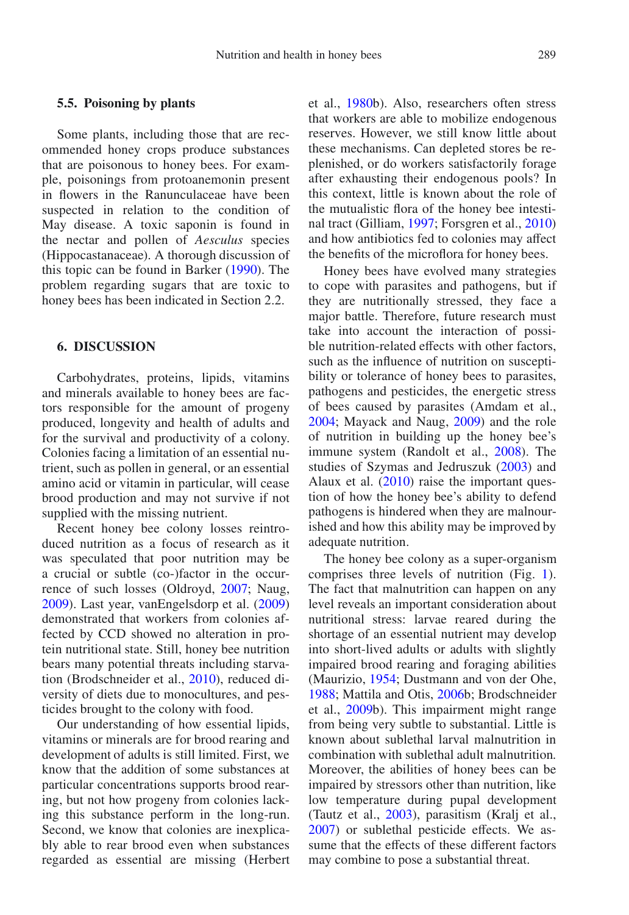#### **5.5. Poisoning by plants**

Some plants, including those that are recommended honey crops produce substances that are poisonous to honey bees. For example, poisonings from protoanemonin present in flowers in the Ranunculaceae have been suspected in relation to the condition of May disease. A toxic saponin is found in the nectar and pollen of *Aesculus* species (Hippocastanaceae). A thorough discussion of this topic can be found in Barker (1990). The problem regarding sugars that are toxic to honey bees has been indicated in Section 2.2.

# **6. DISCUSSION**

Carbohydrates, proteins, lipids, vitamins and minerals available to honey bees are factors responsible for the amount of progeny produced, longevity and health of adults and for the survival and productivity of a colony. Colonies facing a limitation of an essential nutrient, such as pollen in general, or an essential amino acid or vitamin in particular, will cease brood production and may not survive if not supplied with the missing nutrient.

Recent honey bee colony losses reintroduced nutrition as a focus of research as it was speculated that poor nutrition may be a crucial or subtle (co-)factor in the occurrence of such losses (Oldroyd, 2007; Naug, 2009). Last year, vanEngelsdorp et al. (2009) demonstrated that workers from colonies affected by CCD showed no alteration in protein nutritional state. Still, honey bee nutrition bears many potential threats including starvation (Brodschneider et al., 2010), reduced diversity of diets due to monocultures, and pesticides brought to the colony with food.

Our understanding of how essential lipids, vitamins or minerals are for brood rearing and development of adults is still limited. First, we know that the addition of some substances at particular concentrations supports brood rearing, but not how progeny from colonies lacking this substance perform in the long-run. Second, we know that colonies are inexplicably able to rear brood even when substances regarded as essential are missing (Herbert et al., 1980b). Also, researchers often stress that workers are able to mobilize endogenous reserves. However, we still know little about these mechanisms. Can depleted stores be replenished, or do workers satisfactorily forage after exhausting their endogenous pools? In this context, little is known about the role of the mutualistic flora of the honey bee intestinal tract (Gilliam, 1997; Forsgren et al., 2010) and how antibiotics fed to colonies may affect the benefits of the microflora for honey bees.

Honey bees have evolved many strategies to cope with parasites and pathogens, but if they are nutritionally stressed, they face a major battle. Therefore, future research must take into account the interaction of possible nutrition-related effects with other factors, such as the influence of nutrition on susceptibility or tolerance of honey bees to parasites, pathogens and pesticides, the energetic stress of bees caused by parasites (Amdam et al., 2004; Mayack and Naug, 2009) and the role of nutrition in building up the honey bee's immune system (Randolt et al., 2008). The studies of Szymas and Jedruszuk (2003) and Alaux et al. (2010) raise the important question of how the honey bee's ability to defend pathogens is hindered when they are malnourished and how this ability may be improved by adequate nutrition.

The honey bee colony as a super-organism comprises three levels of nutrition (Fig. 1). The fact that malnutrition can happen on any level reveals an important consideration about nutritional stress: larvae reared during the shortage of an essential nutrient may develop into short-lived adults or adults with slightly impaired brood rearing and foraging abilities (Maurizio, 1954; Dustmann and von der Ohe, 1988; Mattila and Otis, 2006b; Brodschneider et al., 2009b). This impairment might range from being very subtle to substantial. Little is known about sublethal larval malnutrition in combination with sublethal adult malnutrition. Moreover, the abilities of honey bees can be impaired by stressors other than nutrition, like low temperature during pupal development (Tautz et al., 2003), parasitism (Kralj et al., 2007) or sublethal pesticide effects. We assume that the effects of these different factors may combine to pose a substantial threat.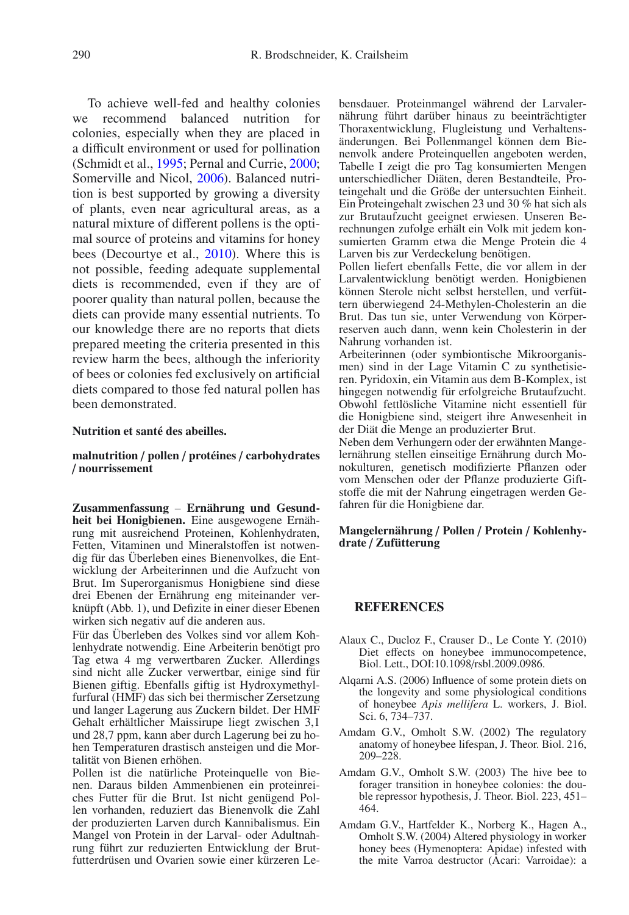To achieve well-fed and healthy colonies we recommend balanced nutrition for colonies, especially when they are placed in a difficult environment or used for pollination (Schmidt et al., 1995; Pernal and Currie, 2000; Somerville and Nicol, 2006). Balanced nutrition is best supported by growing a diversity of plants, even near agricultural areas, as a natural mixture of different pollens is the optimal source of proteins and vitamins for honey bees (Decourtye et al., 2010). Where this is not possible, feeding adequate supplemental diets is recommended, even if they are of poorer quality than natural pollen, because the diets can provide many essential nutrients. To our knowledge there are no reports that diets prepared meeting the criteria presented in this review harm the bees, although the inferiority of bees or colonies fed exclusively on artificial diets compared to those fed natural pollen has been demonstrated.

# **Nutrition et santé des abeilles.**

# **malnutrition** / **pollen** / **protéines** / **carbohydrates** / **nourrissement**

**Zusammenfassung** – **Ernährung und Gesundheit bei Honigbienen.** Eine ausgewogene Ernährung mit ausreichend Proteinen, Kohlenhydraten, Fetten, Vitaminen und Mineralstoffen ist notwendig für das Überleben eines Bienenvolkes, die Entwicklung der Arbeiterinnen und die Aufzucht von Brut. Im Superorganismus Honigbiene sind diese drei Ebenen der Ernährung eng miteinander verknüpft (Abb. 1), und Defizite in einer dieser Ebenen wirken sich negativ auf die anderen aus.

Für das Überleben des Volkes sind vor allem Kohlenhydrate notwendig. Eine Arbeiterin benötigt pro Tag etwa 4 mg verwertbaren Zucker. Allerdings sind nicht alle Zucker verwertbar, einige sind für Bienen giftig. Ebenfalls giftig ist Hydroxymethylfurfural (HMF) das sich bei thermischer Zersetzung und langer Lagerung aus Zuckern bildet. Der HMF Gehalt erhältlicher Maissirupe liegt zwischen 3,1 und 28,7 ppm, kann aber durch Lagerung bei zu hohen Temperaturen drastisch ansteigen und die Mortalität von Bienen erhöhen.

Pollen ist die natürliche Proteinquelle von Bienen. Daraus bilden Ammenbienen ein proteinreiches Futter für die Brut. Ist nicht genügend Pollen vorhanden, reduziert das Bienenvolk die Zahl der produzierten Larven durch Kannibalismus. Ein Mangel von Protein in der Larval- oder Adultnahrung führt zur reduzierten Entwicklung der Brutfutterdrüsen und Ovarien sowie einer kürzeren Lebensdauer. Proteinmangel während der Larvalernährung führt darüber hinaus zu beeinträchtigter Thoraxentwicklung, Flugleistung und Verhaltensänderungen. Bei Pollenmangel können dem Bienenvolk andere Proteinquellen angeboten werden, Tabelle I zeigt die pro Tag konsumierten Mengen unterschiedlicher Diäten, deren Bestandteile, Proteingehalt und die Größe der untersuchten Einheit. Ein Proteingehalt zwischen 23 und 30 % hat sich als zur Brutaufzucht geeignet erwiesen. Unseren Berechnungen zufolge erhält ein Volk mit jedem konsumierten Gramm etwa die Menge Protein die 4 Larven bis zur Verdeckelung benötigen.

Pollen liefert ebenfalls Fette, die vor allem in der Larvalentwicklung benötigt werden. Honigbienen können Sterole nicht selbst herstellen, und verfüttern überwiegend 24-Methylen-Cholesterin an die Brut. Das tun sie, unter Verwendung von Körperreserven auch dann, wenn kein Cholesterin in der Nahrung vorhanden ist.

Arbeiterinnen (oder symbiontische Mikroorganismen) sind in der Lage Vitamin C zu synthetisieren. Pyridoxin, ein Vitamin aus dem B-Komplex, ist hingegen notwendig für erfolgreiche Brutaufzucht. Obwohl fettlösliche Vitamine nicht essentiell für die Honigbiene sind, steigert ihre Anwesenheit in der Diät die Menge an produzierter Brut.

Neben dem Verhungern oder der erwähnten Mangelernährung stellen einseitige Ernährung durch Monokulturen, genetisch modifizierte Pflanzen oder vom Menschen oder der Pflanze produzierte Giftstoffe die mit der Nahrung eingetragen werden Gefahren für die Honigbiene dar.

#### **Mangelernährung** / **Pollen** / **Protein** / **Kohlenhydrate** / **Zufütterung**

# **REFERENCES**

- Alaux C., Ducloz F., Crauser D., Le Conte Y. (2010) Diet effects on honeybee immunocompetence, Biol. Lett., DOI:10.1098/rsbl.2009.0986.
- Alqarni A.S. (2006) Influence of some protein diets on the longevity and some physiological conditions of honeybee *Apis mellifera* L. workers, J. Biol. Sci. 6, 734–737.
- Amdam G.V., Omholt S.W. (2002) The regulatory anatomy of honeybee lifespan, J. Theor. Biol. 216, 209–228.
- Amdam G.V., Omholt S.W. (2003) The hive bee to forager transition in honeybee colonies: the double repressor hypothesis, J. Theor. Biol. 223, 451– 464.
- Amdam G.V., Hartfelder K., Norberg K., Hagen A., Omholt S.W. (2004) Altered physiology in worker honey bees (Hymenoptera: Apidae) infested with the mite Varroa destructor (Acari: Varroidae): a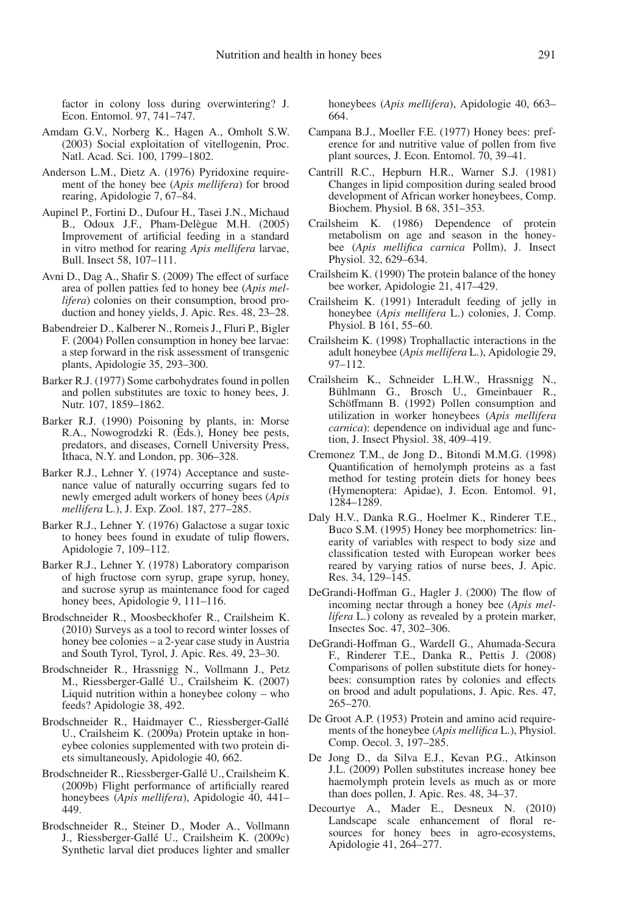factor in colony loss during overwintering? J. Econ. Entomol. 97, 741–747.

- Amdam G.V., Norberg K., Hagen A., Omholt S.W. (2003) Social exploitation of vitellogenin, Proc. Natl. Acad. Sci. 100, 1799–1802.
- Anderson L.M., Dietz A. (1976) Pyridoxine requirement of the honey bee (*Apis mellifera*) for brood rearing, Apidologie 7, 67–84.
- Aupinel P., Fortini D., Dufour H., Tasei J.N., Michaud B., Odoux J.F., Pham-Delègue M.H. (2005) Improvement of artificial feeding in a standard in vitro method for rearing *Apis mellifera* larvae, Bull. Insect 58, 107–111.
- Avni D., Dag A., Shafir S. (2009) The effect of surface area of pollen patties fed to honey bee (*Apis mellifera*) colonies on their consumption, brood production and honey yields, J. Apic. Res. 48, 23–28.
- Babendreier D., Kalberer N., Romeis J., Fluri P., Bigler F. (2004) Pollen consumption in honey bee larvae: a step forward in the risk assessment of transgenic plants, Apidologie 35, 293–300.
- Barker R.J. (1977) Some carbohydrates found in pollen and pollen substitutes are toxic to honey bees, J. Nutr. 107, 1859–1862.
- Barker R.J. (1990) Poisoning by plants, in: Morse R.A., Nowogrodzki R. (Eds.), Honey bee pests, predators, and diseases, Cornell University Press, Ithaca, N.Y. and London, pp. 306–328.
- Barker R.J., Lehner Y. (1974) Acceptance and sustenance value of naturally occurring sugars fed to newly emerged adult workers of honey bees (*Apis mellifera* L.), J. Exp. Zool. 187, 277–285.
- Barker R.J., Lehner Y. (1976) Galactose a sugar toxic to honey bees found in exudate of tulip flowers, Apidologie 7, 109–112.
- Barker R.J., Lehner Y. (1978) Laboratory comparison of high fructose corn syrup, grape syrup, honey, and sucrose syrup as maintenance food for caged honey bees, Apidologie 9, 111-116.
- Brodschneider R., Moosbeckhofer R., Crailsheim K. (2010) Surveys as a tool to record winter losses of honey bee colonies – a 2-year case study in Austria and South Tyrol, Tyrol, J. Apic. Res. 49, 23–30.
- Brodschneider R., Hrassnigg N., Vollmann J., Petz M., Riessberger-Gallé U., Crailsheim K. (2007) Liquid nutrition within a honeybee colony – who feeds? Apidologie 38, 492.
- Brodschneider R., Haidmayer C., Riessberger-Gallé U., Crailsheim K. (2009a) Protein uptake in honeybee colonies supplemented with two protein diets simultaneously, Apidologie 40, 662.
- Brodschneider R., Riessberger-Gallé U., Crailsheim K. (2009b) Flight performance of artificially reared honeybees (*Apis mellifera*), Apidologie 40, 441– 449.
- Brodschneider R., Steiner D., Moder A., Vollmann J., Riessberger-Gallé U., Crailsheim K. (2009c) Synthetic larval diet produces lighter and smaller

honeybees (*Apis mellifera*), Apidologie 40, 663– 664.

- Campana B.J., Moeller F.E. (1977) Honey bees: preference for and nutritive value of pollen from five plant sources, J. Econ. Entomol. 70, 39–41.
- Cantrill R.C., Hepburn H.R., Warner S.J. (1981) Changes in lipid composition during sealed brood development of African worker honeybees, Comp. Biochem. Physiol. B 68, 351–353.
- Crailsheim K. (1986) Dependence of protein metabolism on age and season in the honeybee (*Apis mellifica carnica* Pollm), J. Insect Physiol. 32, 629–634.
- Crailsheim K. (1990) The protein balance of the honey bee worker, Apidologie 21, 417–429.
- Crailsheim K. (1991) Interadult feeding of jelly in honeybee (*Apis mellifera* L.) colonies, J. Comp. Physiol. B 161, 55–60.
- Crailsheim K. (1998) Trophallactic interactions in the adult honeybee (*Apis mellifera* L.), Apidologie 29, 97–112.
- Crailsheim K., Schneider L.H.W., Hrassnigg N., Bühlmann G., Brosch U., Gmeinbauer R., Schöffmann B. (1992) Pollen consumption and utilization in worker honeybees (*Apis mellifera carnica*): dependence on individual age and function, J. Insect Physiol. 38, 409–419.
- Cremonez T.M., de Jong D., Bitondi M.M.G. (1998) Quantification of hemolymph proteins as a fast method for testing protein diets for honey bees (Hymenoptera: Apidae), J. Econ. Entomol. 91, 1284–1289.
- Daly H.V., Danka R.G., Hoelmer K., Rinderer T.E., Buco S.M. (1995) Honey bee morphometrics: linearity of variables with respect to body size and classification tested with European worker bees reared by varying ratios of nurse bees, J. Apic. Res. 34, 129–145.
- DeGrandi-Hoffman G., Hagler J. (2000) The flow of incoming nectar through a honey bee (*Apis mellifera* L.) colony as revealed by a protein marker, Insectes Soc. 47, 302–306.
- DeGrandi-Hoffman G., Wardell G., Ahumada-Secura F., Rinderer T.E., Danka R., Pettis J. (2008) Comparisons of pollen substitute diets for honeybees: consumption rates by colonies and effects on brood and adult populations, J. Apic. Res. 47, 265–270.
- De Groot A.P. (1953) Protein and amino acid requirements of the honeybee (*Apis mellifica* L.), Physiol. Comp. Oecol. 3, 197–285.
- De Jong D., da Silva E.J., Kevan P.G., Atkinson J.L. (2009) Pollen substitutes increase honey bee haemolymph protein levels as much as or more than does pollen, J. Apic. Res. 48, 34–37.
- Decourtye A., Mader E., Desneux N. (2010) Landscape scale enhancement of floral resources for honey bees in agro-ecosystems, Apidologie 41, 264–277.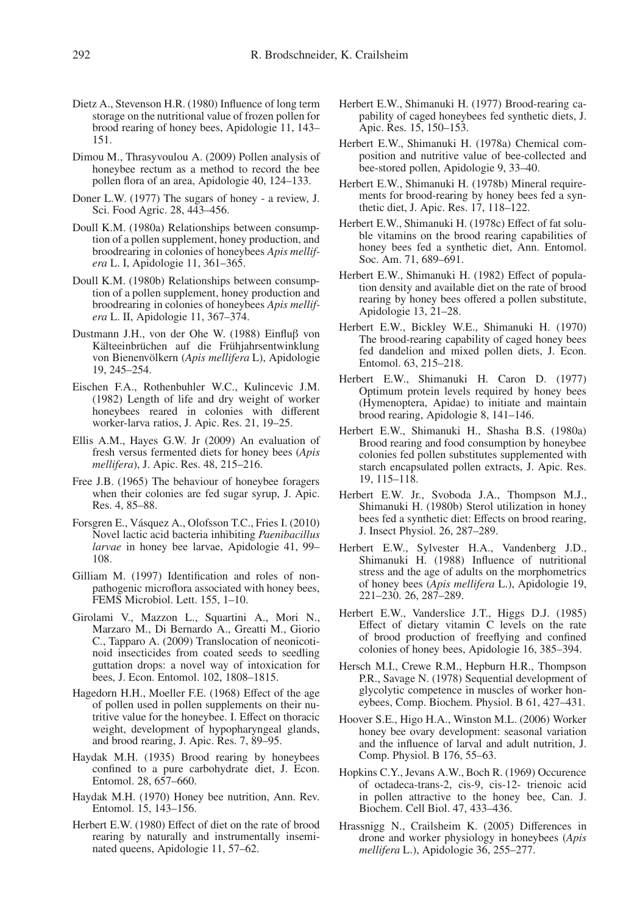- Dietz A., Stevenson H.R. (1980) Influence of long term storage on the nutritional value of frozen pollen for brood rearing of honey bees, Apidologie 11, 143– 151.
- Dimou M., Thrasyvoulou A. (2009) Pollen analysis of honeybee rectum as a method to record the bee pollen flora of an area, Apidologie 40, 124–133.
- Doner L.W. (1977) The sugars of honey a review, J. Sci. Food Agric. 28, 443–456.
- Doull K.M. (1980a) Relationships between consumption of a pollen supplement, honey production, and broodrearing in colonies of honeybees *Apis mellifera* L. I, Apidologie 11, 361–365.
- Doull K.M. (1980b) Relationships between consumption of a pollen supplement, honey production and broodrearing in colonies of honeybees *Apis mellifera* L. II, Apidologie 11, 367–374.
- Dustmann J.H., von der Ohe W. (1988) Einfluβ von Kälteeinbrüchen auf die Frühjahrsentwinklung von Bienenvölkern (*Apis mellifera* L), Apidologie 19, 245–254.
- Eischen F.A., Rothenbuhler W.C., Kulincevic J.M. (1982) Length of life and dry weight of worker honeybees reared in colonies with different worker-larva ratios, J. Apic. Res. 21, 19–25.
- Ellis A.M., Hayes G.W. Jr (2009) An evaluation of fresh versus fermented diets for honey bees (*Apis mellifera*), J. Apic. Res. 48, 215–216.
- Free J.B. (1965) The behaviour of honeybee foragers when their colonies are fed sugar syrup, J. Apic. Res. 4, 85–88.
- Forsgren E., Vásquez A., Olofsson T.C., Fries I. (2010) Novel lactic acid bacteria inhibiting *Paenibacillus larvae* in honey bee larvae, Apidologie 41, 99– 108.
- Gilliam M. (1997) Identification and roles of nonpathogenic microflora associated with honey bees, FEMS Microbiol. Lett. 155, 1–10.
- Girolami V., Mazzon L., Squartini A., Mori N., Marzaro M., Di Bernardo A., Greatti M., Giorio C., Tapparo A. (2009) Translocation of neonicotinoid insecticides from coated seeds to seedling guttation drops: a novel way of intoxication for bees, J. Econ. Entomol. 102, 1808–1815.
- Hagedorn H.H., Moeller F.E. (1968) Effect of the age of pollen used in pollen supplements on their nutritive value for the honeybee. I. Effect on thoracic weight, development of hypopharyngeal glands, and brood rearing, J. Apic. Res. 7, 89–95.
- Haydak M.H. (1935) Brood rearing by honeybees confined to a pure carbohydrate diet, J. Econ. Entomol. 28, 657–660.
- Haydak M.H. (1970) Honey bee nutrition, Ann. Rev. Entomol. 15, 143–156.
- Herbert E.W. (1980) Effect of diet on the rate of brood rearing by naturally and instrumentally inseminated queens, Apidologie 11, 57–62.
- Herbert E.W., Shimanuki H. (1977) Brood-rearing capability of caged honeybees fed synthetic diets, J. Apic. Res. 15, 150–153.
- Herbert E.W., Shimanuki H. (1978a) Chemical composition and nutritive value of bee-collected and bee-stored pollen, Apidologie 9, 33–40.
- Herbert E.W., Shimanuki H. (1978b) Mineral requirements for brood-rearing by honey bees fed a synthetic diet, J. Apic. Res. 17, 118–122.
- Herbert E.W., Shimanuki H. (1978c) Effect of fat soluble vitamins on the brood rearing capabilities of honey bees fed a synthetic diet, Ann. Entomol. Soc. Am. 71, 689–691.
- Herbert E.W., Shimanuki H. (1982) Effect of population density and available diet on the rate of brood rearing by honey bees offered a pollen substitute, Apidologie 13, 21–28.
- Herbert E.W., Bickley W.E., Shimanuki H. (1970) The brood-rearing capability of caged honey bees fed dandelion and mixed pollen diets, J. Econ. Entomol. 63, 215–218.
- Herbert E.W., Shimanuki H. Caron D. (1977) Optimum protein levels required by honey bees (Hymenoptera, Apidae) to initiate and maintain brood rearing, Apidologie 8, 141–146.
- Herbert E.W., Shimanuki H., Shasha B.S. (1980a) Brood rearing and food consumption by honeybee colonies fed pollen substitutes supplemented with starch encapsulated pollen extracts, J. Apic. Res. 19, 115–118.
- Herbert E.W. Jr., Svoboda J.A., Thompson M.J., Shimanuki H. (1980b) Sterol utilization in honey bees fed a synthetic diet: Effects on brood rearing, J. Insect Physiol. 26, 287–289.
- Herbert E.W., Sylvester H.A., Vandenberg J.D., Shimanuki H. (1988) Influence of nutritional stress and the age of adults on the morphometrics of honey bees (*Apis mellifera* L.), Apidologie 19, 221–230. 26, 287–289.
- Herbert E.W., Vanderslice J.T., Higgs D.J. (1985) Effect of dietary vitamin C levels on the rate of brood production of freeflying and confined colonies of honey bees, Apidologie 16, 385–394.
- Hersch M.I., Crewe R.M., Hepburn H.R., Thompson P.R., Savage N. (1978) Sequential development of glycolytic competence in muscles of worker honeybees, Comp. Biochem. Physiol. B 61, 427–431.
- Hoover S.E., Higo H.A., Winston M.L. (2006) Worker honey bee ovary development: seasonal variation and the influence of larval and adult nutrition, J. Comp. Physiol. B 176, 55–63.
- Hopkins C.Y., Jevans A.W., Boch R. (1969) Occurence of octadeca-trans-2, cis-9, cis-12- trienoic acid in pollen attractive to the honey bee, Can. J. Biochem. Cell Biol. 47, 433–436.
- Hrassnigg N., Crailsheim K. (2005) Differences in drone and worker physiology in honeybees (*Apis mellifera* L.), Apidologie 36, 255–277.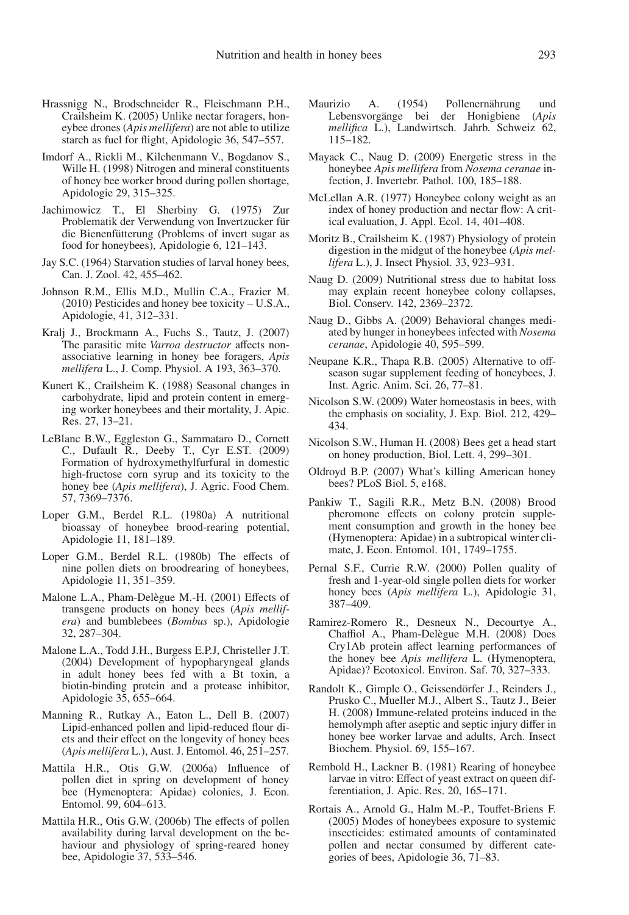- Hrassnigg N., Brodschneider R., Fleischmann P.H., Crailsheim K. (2005) Unlike nectar foragers, honeybee drones (*Apis mellifera*) are not able to utilize starch as fuel for flight, Apidologie 36, 547–557.
- Imdorf A., Rickli M., Kilchenmann V., Bogdanov S., Wille H. (1998) Nitrogen and mineral constituents of honey bee worker brood during pollen shortage, Apidologie 29, 315–325.
- Jachimowicz T., El Sherbiny G. (1975) Zur Problematik der Verwendung von Invertzucker für die Bienenfütterung (Problems of invert sugar as food for honeybees), Apidologie 6, 121–143.
- Jay S.C. (1964) Starvation studies of larval honey bees, Can. J. Zool. 42, 455–462.
- Johnson R.M., Ellis M.D., Mullin C.A., Frazier M. (2010) Pesticides and honey bee toxicity – U.S.A., Apidologie, 41, 312–331.
- Kralj J., Brockmann A., Fuchs S., Tautz, J. (2007) The parasitic mite *Varroa destructor* affects nonassociative learning in honey bee foragers, *Apis mellifera* L., J. Comp. Physiol. A 193, 363–370.
- Kunert K., Crailsheim K. (1988) Seasonal changes in carbohydrate, lipid and protein content in emerging worker honeybees and their mortality, J. Apic. Res. 27, 13–21.
- LeBlanc B.W., Eggleston G., Sammataro D., Cornett C., Dufault R., Deeby T., Cyr E.ST. (2009) Formation of hydroxymethylfurfural in domestic high-fructose corn syrup and its toxicity to the honey bee (*Apis mellifera*), J. Agric. Food Chem. 57, 7369–7376.
- Loper G.M., Berdel R.L. (1980a) A nutritional bioassay of honeybee brood-rearing potential, Apidologie 11, 181–189.
- Loper G.M., Berdel R.L. (1980b) The effects of nine pollen diets on broodrearing of honeybees, Apidologie 11, 351–359.
- Malone L.A., Pham-Delègue M.-H. (2001) Effects of transgene products on honey bees (*Apis mellifera*) and bumblebees (*Bombus* sp.), Apidologie 32, 287–304.
- Malone L.A., Todd J.H., Burgess E.P.J, Christeller J.T. (2004) Development of hypopharyngeal glands in adult honey bees fed with a Bt toxin, a biotin-binding protein and a protease inhibitor, Apidologie 35, 655–664.
- Manning R., Rutkay A., Eaton L., Dell B. (2007) Lipid-enhanced pollen and lipid-reduced flour diets and their effect on the longevity of honey bees (*Apis mellifera* L.), Aust. J. Entomol. 46, 251–257.
- Mattila H.R., Otis G.W. (2006a) Influence of pollen diet in spring on development of honey bee (Hymenoptera: Apidae) colonies, J. Econ. Entomol. 99, 604–613.
- Mattila H.R., Otis G.W. (2006b) The effects of pollen availability during larval development on the behaviour and physiology of spring-reared honey bee, Apidologie 37, 533–546.
- Maurizio A. (1954) Pollenernährung und<br>Lebensvorgänge bei der Honigbiene (Apis Lebensvorgänge bei der Honigbiene *mellifica* L.), Landwirtsch. Jahrb. Schweiz 62, 115–182.
- Mayack C., Naug D. (2009) Energetic stress in the honeybee *Apis mellifera* from *Nosema ceranae* infection, J. Invertebr. Pathol. 100, 185–188.
- McLellan A.R. (1977) Honeybee colony weight as an index of honey production and nectar flow: A critical evaluation, J. Appl. Ecol. 14, 401–408.
- Moritz B., Crailsheim K. (1987) Physiology of protein digestion in the midgut of the honeybee (*Apis mellifera* L.), J. Insect Physiol. 33, 923–931.
- Naug D. (2009) Nutritional stress due to habitat loss may explain recent honeybee colony collapses, Biol. Conserv. 142, 2369–2372.
- Naug D., Gibbs A. (2009) Behavioral changes mediated by hunger in honeybees infected with *Nosema ceranae*, Apidologie 40, 595–599.
- Neupane K.R., Thapa R.B. (2005) Alternative to offseason sugar supplement feeding of honeybees, J. Inst. Agric. Anim. Sci. 26, 77–81.
- Nicolson S.W. (2009) Water homeostasis in bees, with the emphasis on sociality, J. Exp. Biol. 212, 429– 434.
- Nicolson S.W., Human H. (2008) Bees get a head start on honey production, Biol. Lett. 4, 299–301.
- Oldroyd B.P. (2007) What's killing American honey bees? PLoS Biol. 5, e168.
- Pankiw T., Sagili R.R., Metz B.N. (2008) Brood pheromone effects on colony protein supplement consumption and growth in the honey bee (Hymenoptera: Apidae) in a subtropical winter climate, J. Econ. Entomol. 101, 1749–1755.
- Pernal S.F., Currie R.W. (2000) Pollen quality of fresh and 1-year-old single pollen diets for worker honey bees (*Apis mellifera* L.), Apidologie 31, 387–409.
- Ramirez-Romero R., Desneux N., Decourtye A., Chaffiol A., Pham-Delègue M.H. (2008) Does Cry1Ab protein affect learning performances of the honey bee *Apis mellifera* L. (Hymenoptera, Apidae)? Ecotoxicol. Environ. Saf. 70, 327–333.
- Randolt K., Gimple O., Geissendörfer J., Reinders J., Prusko C., Mueller M.J., Albert S., Tautz J., Beier H. (2008) Immune-related proteins induced in the hemolymph after aseptic and septic injury differ in honey bee worker larvae and adults, Arch. Insect Biochem. Physiol. 69, 155–167.
- Rembold H., Lackner B. (1981) Rearing of honeybee larvae in vitro: Effect of yeast extract on queen differentiation, J. Apic. Res. 20, 165–171.
- Rortais A., Arnold G., Halm M.-P., Touffet-Briens F. (2005) Modes of honeybees exposure to systemic insecticides: estimated amounts of contaminated pollen and nectar consumed by different categories of bees, Apidologie 36, 71–83.